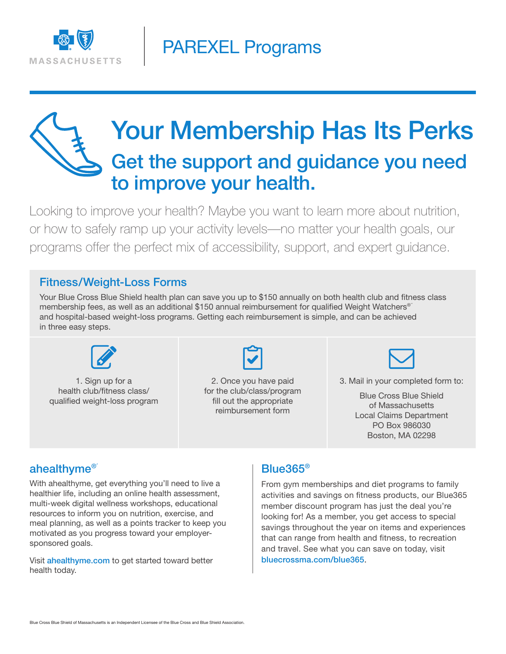

# Your Membership Has Its Perks Get the support and guidance you need to improve your health.

Looking to improve your health? Maybe you want to learn more about nutrition, or how to safely ramp up your activity levels—no matter your health goals, our programs offer the perfect mix of accessibility, support, and expert guidance.

#### Fitness/Weight-Loss Forms

Your Blue Cross Blue Shield health plan can save you up to \$150 annually on both health club and fitness class membership fees, as well as an additional \$150 annual reimbursement for qualified Weight Watchers® and hospital-based weight-loss programs. Getting each reimbursement is simple, and can be achieved in three easy steps.



1. Sign up for a health club/fitness class/ qualified weight-loss program



2. Once you have paid for the club/class/program fill out the appropriate reimbursement form



3. Mail in your completed form to:

Blue Cross Blue Shield of Massachusetts Local Claims Department PO Box 986030 Boston, MA 02298

#### ahealthyme®´

With ahealthyme, get everything you'll need to live a healthier life, including an online health assessment, multi-week digital wellness workshops, educational resources to inform you on nutrition, exercise, and meal planning, as well as a points tracker to keep you motivated as you progress toward your employersponsored goals.

Visit **ahealthyme.com** to get started toward better health today.

#### Blue365®

From gym memberships and diet programs to family activities and savings on fitness products, our Blue365 member discount program has just the deal you're looking for! As a member, you get access to special savings throughout the year on items and experiences that can range from health and fitness, to recreation and travel. See what you can save on today, visit bluecrossma.com/blue365.